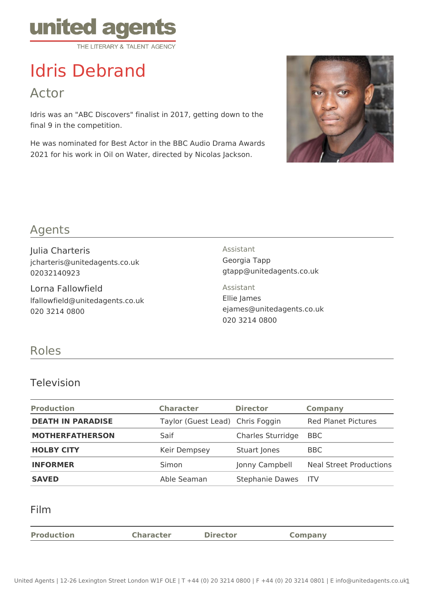

# Idris Debrand

Actor

Idris was an "ABC Discovers" finalist in 2017, getting down to the final 9 in the competition.

He was nominated for Best Actor in the BBC Audio Drama Awards 2021 for his work in Oil on Water, directed by Nicolas Jackson.



## Agents

Julia Charteris jcharteris@unitedagents.co.uk 02032140923

Lorna Fallowfield lfallowfield@unitedagents.co.uk 020 3214 0800

Assistant Georgia Tapp gtapp@unitedagents.co.uk

Assistant Ellie James ejames@unitedagents.co.uk 020 3214 0800

### Roles

#### Television

| <b>Production</b>        | <b>Character</b>                 | <b>Director</b>        | <b>Company</b>                 |
|--------------------------|----------------------------------|------------------------|--------------------------------|
| <b>DEATH IN PARADISE</b> | Taylor (Guest Lead) Chris Foggin |                        | <b>Red Planet Pictures</b>     |
| <b>MOTHERFATHERSON</b>   | Saif                             | Charles Sturridge      | <b>BBC</b>                     |
| <b>HOLBY CITY</b>        | Keir Dempsey                     | Stuart Jones           | <b>BBC</b>                     |
| <b>INFORMER</b>          | Simon                            | Jonny Campbell         | <b>Neal Street Productions</b> |
| <b>SAVED</b>             | Able Seaman                      | <b>Stephanie Dawes</b> | - ITV                          |

Film

| <b>Production</b> | <b>Character</b> | <b>Director</b> | Company |
|-------------------|------------------|-----------------|---------|
|                   |                  |                 |         |